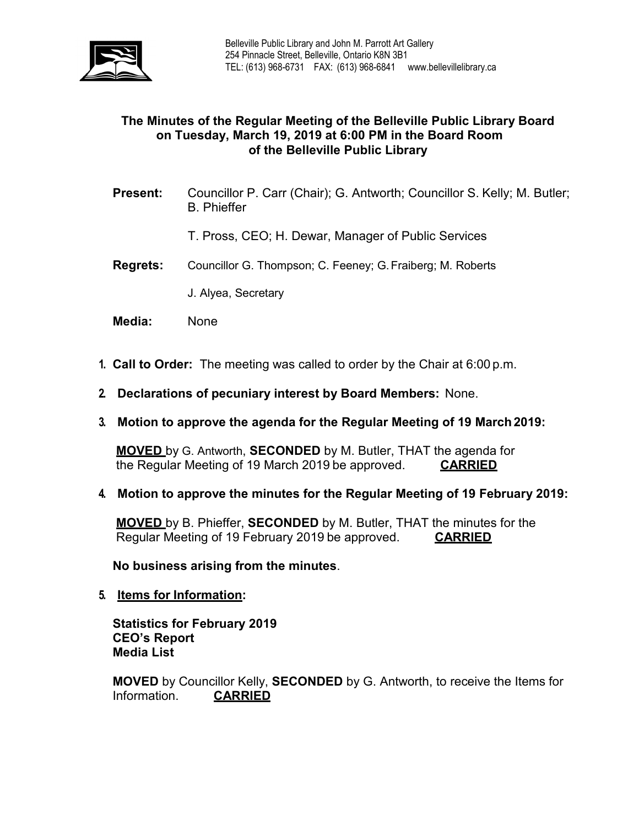

## **The Minutes of the Regular Meeting of the Belleville Public Library Board on Tuesday, March 19, 2019 at 6:00 PM in the Board Room of the Belleville Public Library**

- **Present:** Councillor P. Carr (Chair); G. Antworth; Councillor S. Kelly; M. Butler; B. Phieffer
	- T. Pross, CEO; H. Dewar, Manager of Public Services
- **Regrets:** Councillor G. Thompson; C. Feeney; G.Fraiberg; M. Roberts
	- J. Alyea, Secretary
- **Media:** None
- **1. Call to Order:** The meeting was called to order by the Chair at 6:00 p.m.
- **2. Declarations of pecuniary interest by Board Members:** None.
- **3. Motion to approve the agenda for the Regular Meeting of 19 March2019:**

**MOVED** by G. Antworth, **SECONDED** by M. Butler, THAT the agenda for the Regular Meeting of 19 March 2019 be approved. **CARRIED**

**4. Motion to approve the minutes for the Regular Meeting of 19 February 2019:**

**MOVED** by B. Phieffer, **SECONDED** by M. Butler, THAT the minutes for the Regular Meeting of 19 February 2019 be approved. **CARRIED**

**No business arising from the minutes**.

**5. Items for Information:**

**Statistics for February 2019 CEO's Report Media List**

**MOVED** by Councillor Kelly, **SECONDED** by G. Antworth, to receive the Items for Information. **CARRIED**